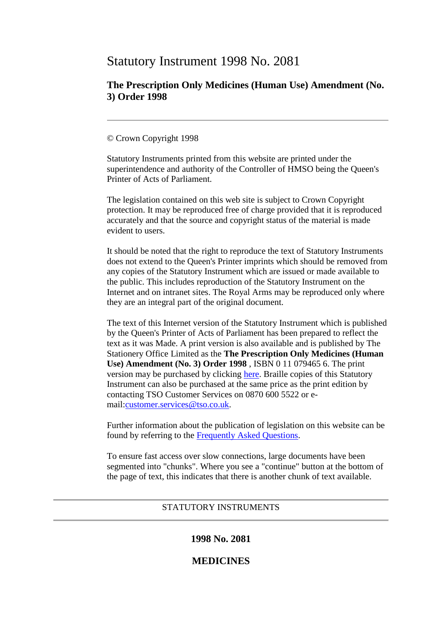# Statutory Instrument 1998 No. 2081

# **The Prescription Only Medicines (Human Use) Amendment (No. 3) Order 1998**

## © Crown Copyright 1998

Statutory Instruments printed from this website are printed under the superintendence and authority of the Controller of HMSO being the Queen's Printer of Acts of Parliament.

The legislation contained on this web site is subject to Crown Copyright protection. It may be reproduced free of charge provided that it is reproduced accurately and that the source and copyright status of the material is made evident to users.

It should be noted that the right to reproduce the text of Statutory Instruments does not extend to the Queen's Printer imprints which should be removed from any copies of the Statutory Instrument which are issued or made available to the public. This includes reproduction of the Statutory Instrument on the Internet and on intranet sites. The Royal Arms may be reproduced only where they are an integral part of the original document.

The text of this Internet version of the Statutory Instrument which is published by the Queen's Printer of Acts of Parliament has been prepared to reflect the text as it was Made. A print version is also available and is published by The Stationery Office Limited as the **The Prescription Only Medicines (Human Use) Amendment (No. 3) Order 1998** , ISBN 0 11 079465 6. The print version may be purchased by clicking [here.](http://www.opsi.gov.uk/bookstore.htm?AF=A10075&FO=38383&ACTION=AddItem&ProductID=0110794656) Braille copies of this Statutory Instrument can also be purchased at the same price as the print edition by contacting TSO Customer Services on 0870 600 5522 or email[:customer.services@tso.co.uk.](mailto:customer.services@tso.co.uk)

Further information about the publication of legislation on this website can be found by referring to the [Frequently Asked Questions.](http://www.hmso.gov.uk/faqs.htm)

To ensure fast access over slow connections, large documents have been segmented into "chunks". Where you see a "continue" button at the bottom of the page of text, this indicates that there is another chunk of text available.

## STATUTORY INSTRUMENTS

# **1998 No. 2081**

## **MEDICINES**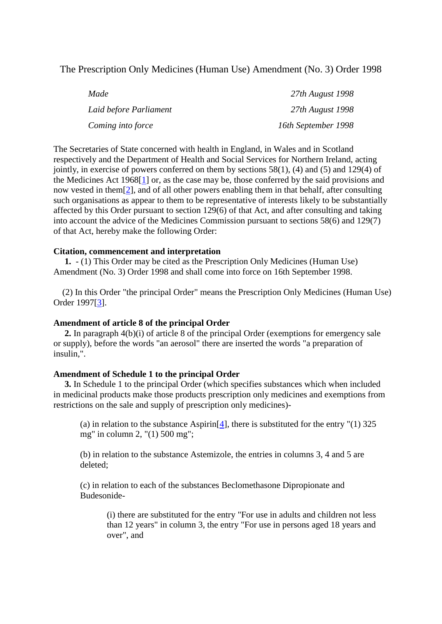The Prescription Only Medicines (Human Use) Amendment (No. 3) Order 1998

| Made                   | 27th August 1998    |
|------------------------|---------------------|
| Laid before Parliament | 27th August 1998    |
| Coming into force      | 16th September 1998 |

The Secretaries of State concerned with health in England, in Wales and in Scotland respectively and the Department of Health and Social Services for Northern Ireland, acting jointly, in exercise of powers conferred on them by sections  $58(1)$ , (4) and (5) and 129(4) of the Medicines Act 1968[\[1\]](file://soton.ac.uk/ude/PersonalFiles/Users/ab12/mydocuments/Medicines%20material%20for%20new%20website%20section/SI%201998%20No%202081%20reinstating%20mepivacaine.htm%23note1) or, as the case may be, those conferred by the said provisions and now vested in them[\[2\]](file://soton.ac.uk/ude/PersonalFiles/Users/ab12/mydocuments/Medicines%20material%20for%20new%20website%20section/SI%201998%20No%202081%20reinstating%20mepivacaine.htm%23note2), and of all other powers enabling them in that behalf, after consulting such organisations as appear to them to be representative of interests likely to be substantially affected by this Order pursuant to section 129(6) of that Act, and after consulting and taking into account the advice of the Medicines Commission pursuant to sections 58(6) and 129(7) of that Act, hereby make the following Order:

#### **Citation, commencement and interpretation**

**1.** - (1) This Order may be cited as the Prescription Only Medicines (Human Use) Amendment (No. 3) Order 1998 and shall come into force on 16th September 1998.

(2) In this Order "the principal Order" means the Prescription Only Medicines (Human Use) Order 1997[\[3\]](file://soton.ac.uk/ude/PersonalFiles/Users/ab12/mydocuments/Medicines%20material%20for%20new%20website%20section/SI%201998%20No%202081%20reinstating%20mepivacaine.htm%23note3).

#### **Amendment of article 8 of the principal Order**

**2.** In paragraph 4(b)(i) of article 8 of the principal Order (exemptions for emergency sale or supply), before the words "an aerosol" there are inserted the words "a preparation of insulin,".

#### **Amendment of Schedule 1 to the principal Order**

**3.** In Schedule 1 to the principal Order (which specifies substances which when included in medicinal products make those products prescription only medicines and exemptions from restrictions on the sale and supply of prescription only medicines)-

(a) in relation to the substance Aspirin<sup>[\[4\]](file://soton.ac.uk/ude/PersonalFiles/Users/ab12/mydocuments/Medicines%20material%20for%20new%20website%20section/SI%201998%20No%202081%20reinstating%20mepivacaine.htm%23note4)</sup>, there is substituted for the entry " $(1)$  325 mg" in column 2, "(1) 500 mg";

(b) in relation to the substance Astemizole, the entries in columns 3, 4 and 5 are deleted;

(c) in relation to each of the substances Beclomethasone Dipropionate and Budesonide-

(i) there are substituted for the entry "For use in adults and children not less than 12 years" in column 3, the entry "For use in persons aged 18 years and over", and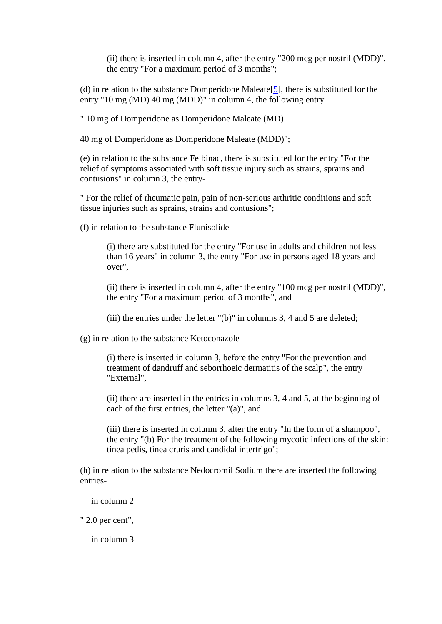(ii) there is inserted in column 4, after the entry "200 mcg per nostril (MDD)", the entry "For a maximum period of 3 months";

(d) in relation to the substance Domperidone Maleate[\[5\]](file://soton.ac.uk/ude/PersonalFiles/Users/ab12/mydocuments/Medicines%20material%20for%20new%20website%20section/SI%201998%20No%202081%20reinstating%20mepivacaine.htm%23note5), there is substituted for the entry "10 mg (MD) 40 mg (MDD)" in column 4, the following entry

" 10 mg of Domperidone as Domperidone Maleate (MD)

40 mg of Domperidone as Domperidone Maleate (MDD)";

(e) in relation to the substance Felbinac, there is substituted for the entry "For the relief of symptoms associated with soft tissue injury such as strains, sprains and contusions" in column 3, the entry-

" For the relief of rheumatic pain, pain of non-serious arthritic conditions and soft tissue injuries such as sprains, strains and contusions";

(f) in relation to the substance Flunisolide-

(i) there are substituted for the entry "For use in adults and children not less than 16 years" in column 3, the entry "For use in persons aged 18 years and over",

(ii) there is inserted in column 4, after the entry "100 mcg per nostril (MDD)", the entry "For a maximum period of 3 months", and

(iii) the entries under the letter "(b)" in columns 3, 4 and 5 are deleted;

(g) in relation to the substance Ketoconazole-

(i) there is inserted in column 3, before the entry "For the prevention and treatment of dandruff and seborrhoeic dermatitis of the scalp", the entry "External",

(ii) there are inserted in the entries in columns 3, 4 and 5, at the beginning of each of the first entries, the letter "(a)", and

(iii) there is inserted in column 3, after the entry "In the form of a shampoo", the entry "(b) For the treatment of the following mycotic infections of the skin: tinea pedis, tinea cruris and candidal intertrigo";

(h) in relation to the substance Nedocromil Sodium there are inserted the following entries-

in column 2

" 2.0 per cent",

in column 3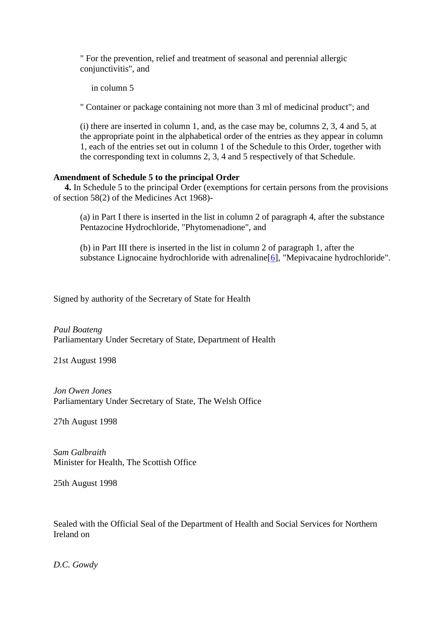" For the prevention, relief and treatment of seasonal and perennial allergic conjunctivitis", and

in column 5

" Container or package containing not more than 3 ml of medicinal product"; and

(i) there are inserted in column 1, and, as the case may be, columns 2, 3, 4 and 5, at the appropriate point in the alphabetical order of the entries as they appear in column 1, each of the entries set out in column 1 of the Schedule to this Order, together with the corresponding text in columns 2, 3, 4 and 5 respectively of that Schedule.

### **Amendment of Schedule 5 to the principal Order**

**4.** In Schedule 5 to the principal Order (exemptions for certain persons from the provisions of section 58(2) of the Medicines Act 1968)-

(a) in Part I there is inserted in the list in column 2 of paragraph 4, after the substance Pentazocine Hydrochloride, "Phytomenadione", and

(b) in Part III there is inserted in the list in column 2 of paragraph 1, after the substance Lignocaine hydrochloride with adrenaline [\[6\]](file://soton.ac.uk/ude/PersonalFiles/Users/ab12/mydocuments/Medicines%20material%20for%20new%20website%20section/SI%201998%20No%202081%20reinstating%20mepivacaine.htm%23note6), "Mepivacaine hydrochloride".

Signed by authority of the Secretary of State for Health

*Paul Boateng* Parliamentary Under Secretary of State, Department of Health

21st August 1998

*Jon Owen Jones* Parliamentary Under Secretary of State, The Welsh Office

27th August 1998

*Sam Galbraith* Minister for Health, The Scottish Office

25th August 1998

Sealed with the Official Seal of the Department of Health and Social Services for Northern Ireland on

*D.C. Gowdy*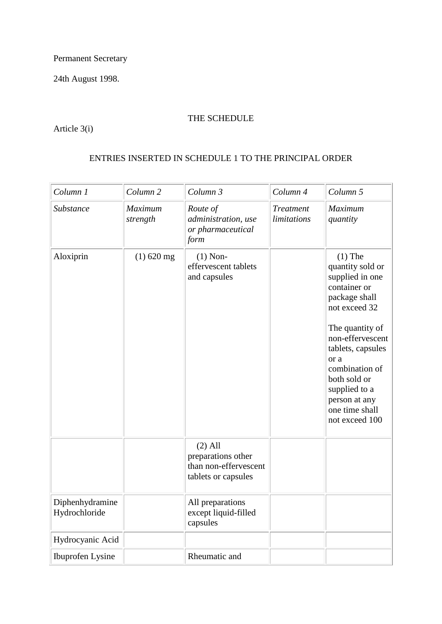Permanent Secretary

24th August 1998.

# THE SCHEDULE

Article 3(i)

# ENTRIES INSERTED IN SCHEDULE 1 TO THE PRINCIPAL ORDER

| Column 1                         | Column <sub>2</sub>        | Column 3                                                                        | Column 4                        | Column 5                                                                                                                                                                                                                                                                       |
|----------------------------------|----------------------------|---------------------------------------------------------------------------------|---------------------------------|--------------------------------------------------------------------------------------------------------------------------------------------------------------------------------------------------------------------------------------------------------------------------------|
| Substance                        | <b>Maximum</b><br>strength | Route of<br>administration, use<br>or pharmaceutical<br>form                    | <b>Treatment</b><br>limitations | Maximum<br>quantity                                                                                                                                                                                                                                                            |
| Aloxiprin                        | $(1)$ 620 mg               | $(1)$ Non-<br>effervescent tablets<br>and capsules                              |                                 | $(1)$ The<br>quantity sold or<br>supplied in one<br>container or<br>package shall<br>not exceed 32<br>The quantity of<br>non-effervescent<br>tablets, capsules<br>or a<br>combination of<br>both sold or<br>supplied to a<br>person at any<br>one time shall<br>not exceed 100 |
|                                  |                            | $(2)$ All<br>preparations other<br>than non-effervescent<br>tablets or capsules |                                 |                                                                                                                                                                                                                                                                                |
| Diphenhydramine<br>Hydrochloride |                            | All preparations<br>except liquid-filled<br>capsules                            |                                 |                                                                                                                                                                                                                                                                                |
| Hydrocyanic Acid                 |                            |                                                                                 |                                 |                                                                                                                                                                                                                                                                                |
| Ibuprofen Lysine                 |                            | Rheumatic and                                                                   |                                 |                                                                                                                                                                                                                                                                                |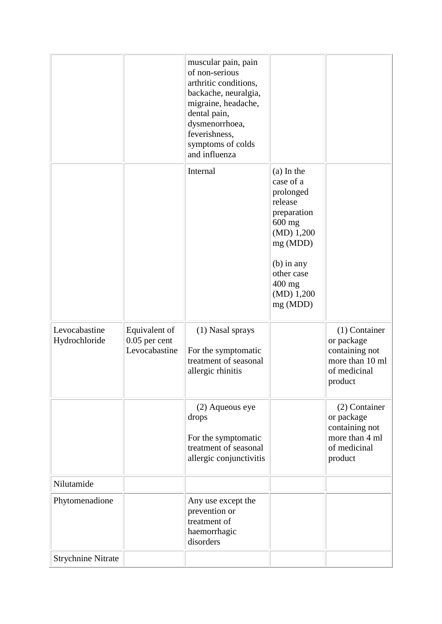|                                |                                                   | muscular pain, pain<br>of non-serious<br>arthritic conditions,<br>backache, neuralgia,<br>migraine, headache,<br>dental pain,<br>dysmenorrhoea,<br>feverishness,<br>symptoms of colds<br>and influenza |                                                                                                                                                                          |                                                                                               |
|--------------------------------|---------------------------------------------------|--------------------------------------------------------------------------------------------------------------------------------------------------------------------------------------------------------|--------------------------------------------------------------------------------------------------------------------------------------------------------------------------|-----------------------------------------------------------------------------------------------|
|                                |                                                   | Internal                                                                                                                                                                                               | $(a)$ In the<br>case of a<br>prolonged<br>release<br>preparation<br>600 mg<br>(MD) 1,200<br>mg (MDD)<br>$(b)$ in any<br>other case<br>$400$ mg<br>(MD) 1,200<br>mg (MDD) |                                                                                               |
| Levocabastine<br>Hydrochloride | Equivalent of<br>$0.05$ per cent<br>Levocabastine | (1) Nasal sprays<br>For the symptomatic<br>treatment of seasonal<br>allergic rhinitis                                                                                                                  |                                                                                                                                                                          | $(1)$ Container<br>or package<br>containing not<br>more than 10 ml<br>of medicinal<br>product |
|                                |                                                   | (2) Aqueous eye<br>drops<br>For the symptomatic<br>treatment of seasonal<br>allergic conjunctivitis                                                                                                    |                                                                                                                                                                          | (2) Container<br>or package<br>containing not<br>more than 4 ml<br>of medicinal<br>product    |
| Nilutamide                     |                                                   |                                                                                                                                                                                                        |                                                                                                                                                                          |                                                                                               |
| Phytomenadione                 |                                                   | Any use except the<br>prevention or<br>treatment of<br>haemorrhagic<br>disorders                                                                                                                       |                                                                                                                                                                          |                                                                                               |
| <b>Strychnine Nitrate</b>      |                                                   |                                                                                                                                                                                                        |                                                                                                                                                                          |                                                                                               |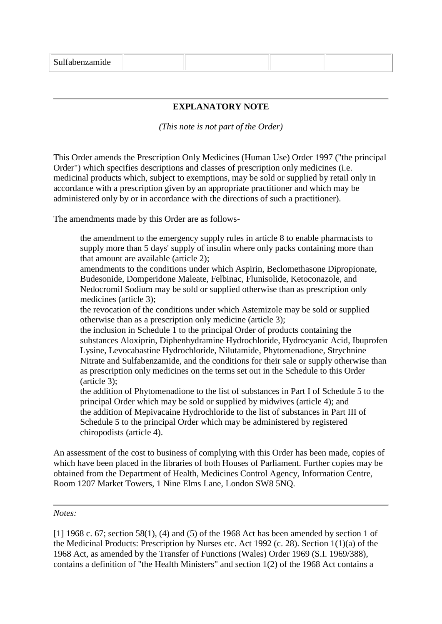|--|--|--|--|--|--|

### **EXPLANATORY NOTE**

*(This note is not part of the Order)*

This Order amends the Prescription Only Medicines (Human Use) Order 1997 ("the principal Order") which specifies descriptions and classes of prescription only medicines (i.e. medicinal products which, subject to exemptions, may be sold or supplied by retail only in accordance with a prescription given by an appropriate practitioner and which may be administered only by or in accordance with the directions of such a practitioner).

The amendments made by this Order are as follows-

the amendment to the emergency supply rules in article 8 to enable pharmacists to supply more than 5 days' supply of insulin where only packs containing more than that amount are available (article 2);

amendments to the conditions under which Aspirin, Beclomethasone Dipropionate, Budesonide, Domperidone Maleate, Felbinac, Flunisolide, Ketoconazole, and Nedocromil Sodium may be sold or supplied otherwise than as prescription only medicines (article 3);

the revocation of the conditions under which Astemizole may be sold or supplied otherwise than as a prescription only medicine (article 3);

the inclusion in Schedule 1 to the principal Order of products containing the substances Aloxiprin, Diphenhydramine Hydrochloride, Hydrocyanic Acid, Ibuprofen Lysine, Levocabastine Hydrochloride, Nilutamide, Phytomenadione, Strychnine Nitrate and Sulfabenzamide, and the conditions for their sale or supply otherwise than as prescription only medicines on the terms set out in the Schedule to this Order (article 3);

the addition of Phytomenadione to the list of substances in Part I of Schedule 5 to the principal Order which may be sold or supplied by midwives (article 4); and the addition of Mepivacaine Hydrochloride to the list of substances in Part III of Schedule 5 to the principal Order which may be administered by registered chiropodists (article 4).

An assessment of the cost to business of complying with this Order has been made, copies of which have been placed in the libraries of both Houses of Parliament. Further copies may be obtained from the Department of Health, Medicines Control Agency, Information Centre, Room 1207 Market Towers, 1 Nine Elms Lane, London SW8 5NQ.

#### *Notes:*

[1] 1968 c. 67; section 58(1), (4) and (5) of the 1968 Act has been amended by section 1 of the Medicinal Products: Prescription by Nurses etc. Act 1992 (c. 28). Section 1(1)(a) of the 1968 Act, as amended by the Transfer of Functions (Wales) Order 1969 (S.I. 1969/388), contains a definition of "the Health Ministers" and section 1(2) of the 1968 Act contains a